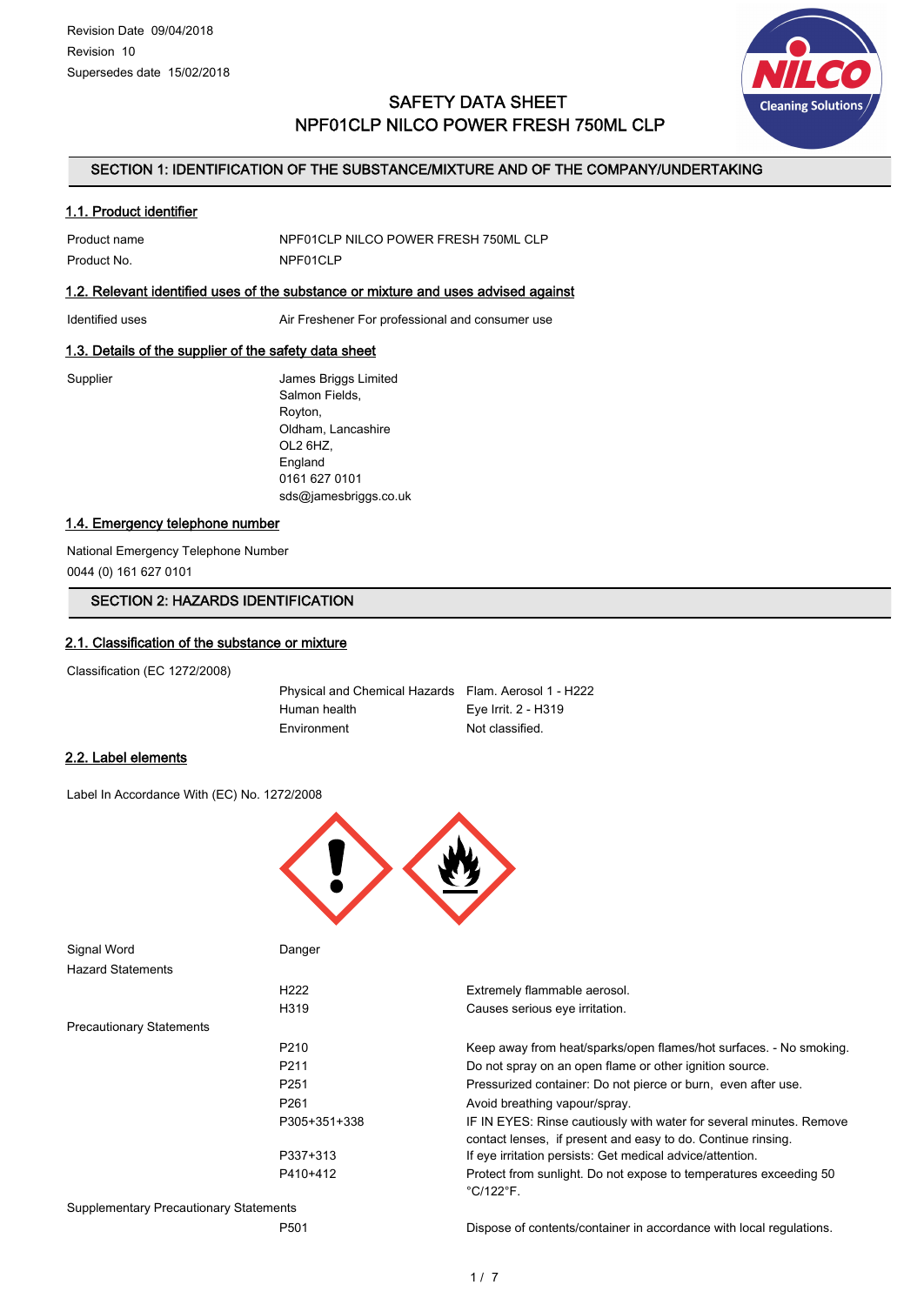

# SAFETY DATA SHEET NPF01CLP NILCO POWER FRESH 750ML CLP

### SECTION 1: IDENTIFICATION OF THE SUBSTANCE/MIXTURE AND OF THE COMPANY/UNDERTAKING

### 1.1. Product identifier

| Product name | NPF01CLP NILCO POWER FRESH 750ML CLP |
|--------------|--------------------------------------|
| Product No.  | NPF01CLP                             |

## 1.2. Relevant identified uses of the substance or mixture and uses advised against

Identified uses **Air Freshener For professional and consumer use** 

### 1.3. Details of the supplier of the safety data sheet

Supplier **Supplier** James Briggs Limited Salmon Fields, Royton, Oldham, Lancashire OL2 6HZ, England 0161 627 0101 sds@jamesbriggs.co.uk

## 1.4. Emergency telephone number

National Emergency Telephone Number 0044 (0) 161 627 0101

# SECTION 2: HAZARDS IDENTIFICATION

# 2.1. Classification of the substance or mixture

Classification (EC 1272/2008)

Physical and Chemical Hazards Flam. Aerosol 1 - H222 Human health Eye Irrit. 2 - H319 Environment Not classified.

### 2.2. Label elements

Label In Accordance With (EC) No. 1272/2008



| Signal Word                                   | Danger           |                                                                                                                                     |
|-----------------------------------------------|------------------|-------------------------------------------------------------------------------------------------------------------------------------|
| <b>Hazard Statements</b>                      |                  |                                                                                                                                     |
|                                               | H <sub>222</sub> | Extremely flammable aerosol.                                                                                                        |
|                                               | H <sub>319</sub> | Causes serious eye irritation.                                                                                                      |
| <b>Precautionary Statements</b>               |                  |                                                                                                                                     |
|                                               | P <sub>210</sub> | Keep away from heat/sparks/open flames/hot surfaces. - No smoking.                                                                  |
|                                               | P <sub>211</sub> | Do not spray on an open flame or other ignition source.                                                                             |
|                                               | P <sub>251</sub> | Pressurized container: Do not pierce or burn, even after use.                                                                       |
|                                               | P <sub>261</sub> | Avoid breathing vapour/spray.                                                                                                       |
|                                               | P305+351+338     | IF IN EYES: Rinse cautiously with water for several minutes. Remove<br>contact lenses, if present and easy to do. Continue rinsing. |
|                                               | P337+313         | If eye irritation persists: Get medical advice/attention.                                                                           |
|                                               | P410+412         | Protect from sunlight. Do not expose to temperatures exceeding 50<br>$^{\circ}$ C/122 $^{\circ}$ F.                                 |
| <b>Supplementary Precautionary Statements</b> |                  |                                                                                                                                     |
|                                               | P <sub>501</sub> | Dispose of contents/container in accordance with local regulations.                                                                 |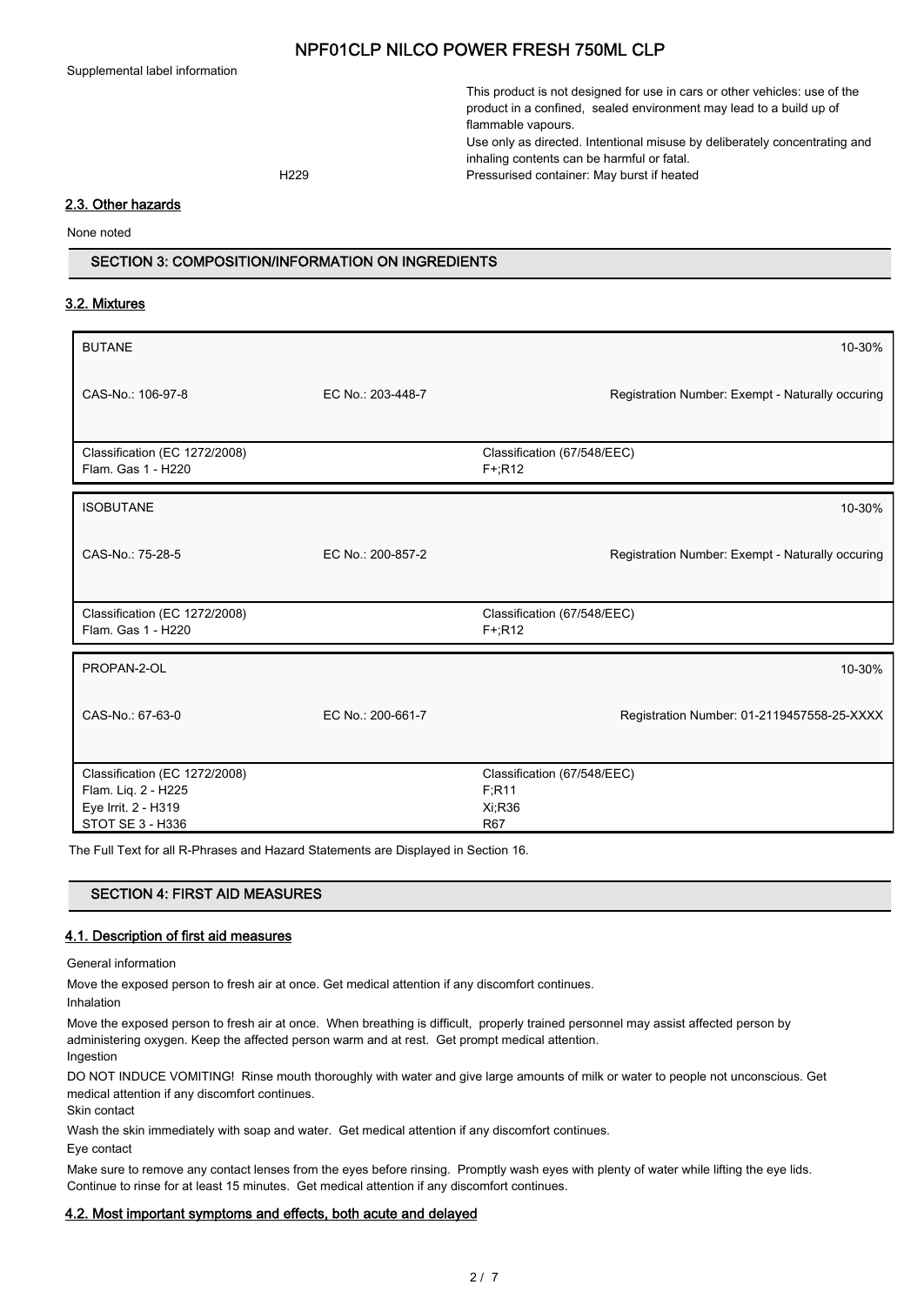Supplemental label information

This product is not designed for use in cars or other vehicles: use of the product in a confined, sealed environment may lead to a build up of flammable vapours.

Use only as directed. Intentional misuse by deliberately concentrating and inhaling contents can be harmful or fatal. H229 Pressurised container: May burst if heated

### 2.3. Other hazards

None noted

## SECTION 3: COMPOSITION/INFORMATION ON INGREDIENTS

### 3.2. Mixtures

| <b>BUTANE</b>                                       |                   | 10-30%                                           |
|-----------------------------------------------------|-------------------|--------------------------------------------------|
| CAS-No.: 106-97-8                                   | EC No.: 203-448-7 | Registration Number: Exempt - Naturally occuring |
| Classification (EC 1272/2008)<br>Flam. Gas 1 - H220 |                   | Classification (67/548/EEC)<br>$F+R12$           |
| <b>ISOBUTANE</b>                                    |                   | 10-30%                                           |
| CAS-No.: 75-28-5                                    | EC No.: 200-857-2 | Registration Number: Exempt - Naturally occuring |
| Classification (EC 1272/2008)<br>Flam. Gas 1 - H220 |                   | Classification (67/548/EEC)<br>$F+$ :R12         |
| PROPAN-2-OL                                         |                   | 10-30%                                           |
| CAS-No.: 67-63-0                                    | EC No.: 200-661-7 | Registration Number: 01-2119457558-25-XXXX       |
| Classification (EC 1272/2008)                       |                   | Classification (67/548/EEC)                      |
| Flam. Liq. 2 - H225                                 |                   | F; R11                                           |
| Eye Irrit. 2 - H319                                 |                   | Xi; R36                                          |
| STOT SE 3 - H336                                    |                   | <b>R67</b>                                       |

The Full Text for all R-Phrases and Hazard Statements are Displayed in Section 16.

# SECTION 4: FIRST AID MEASURES

## 4.1. Description of first aid measures

General information

Move the exposed person to fresh air at once. Get medical attention if any discomfort continues.

Inhalation

Move the exposed person to fresh air at once. When breathing is difficult, properly trained personnel may assist affected person by administering oxygen. Keep the affected person warm and at rest. Get prompt medical attention.

Ingestion

DO NOT INDUCE VOMITING! Rinse mouth thoroughly with water and give large amounts of milk or water to people not unconscious. Get medical attention if any discomfort continues.

Skin contact

Wash the skin immediately with soap and water. Get medical attention if any discomfort continues.

Eye contact

Make sure to remove any contact lenses from the eyes before rinsing. Promptly wash eyes with plenty of water while lifting the eye lids. Continue to rinse for at least 15 minutes. Get medical attention if any discomfort continues.

### 4.2. Most important symptoms and effects, both acute and delayed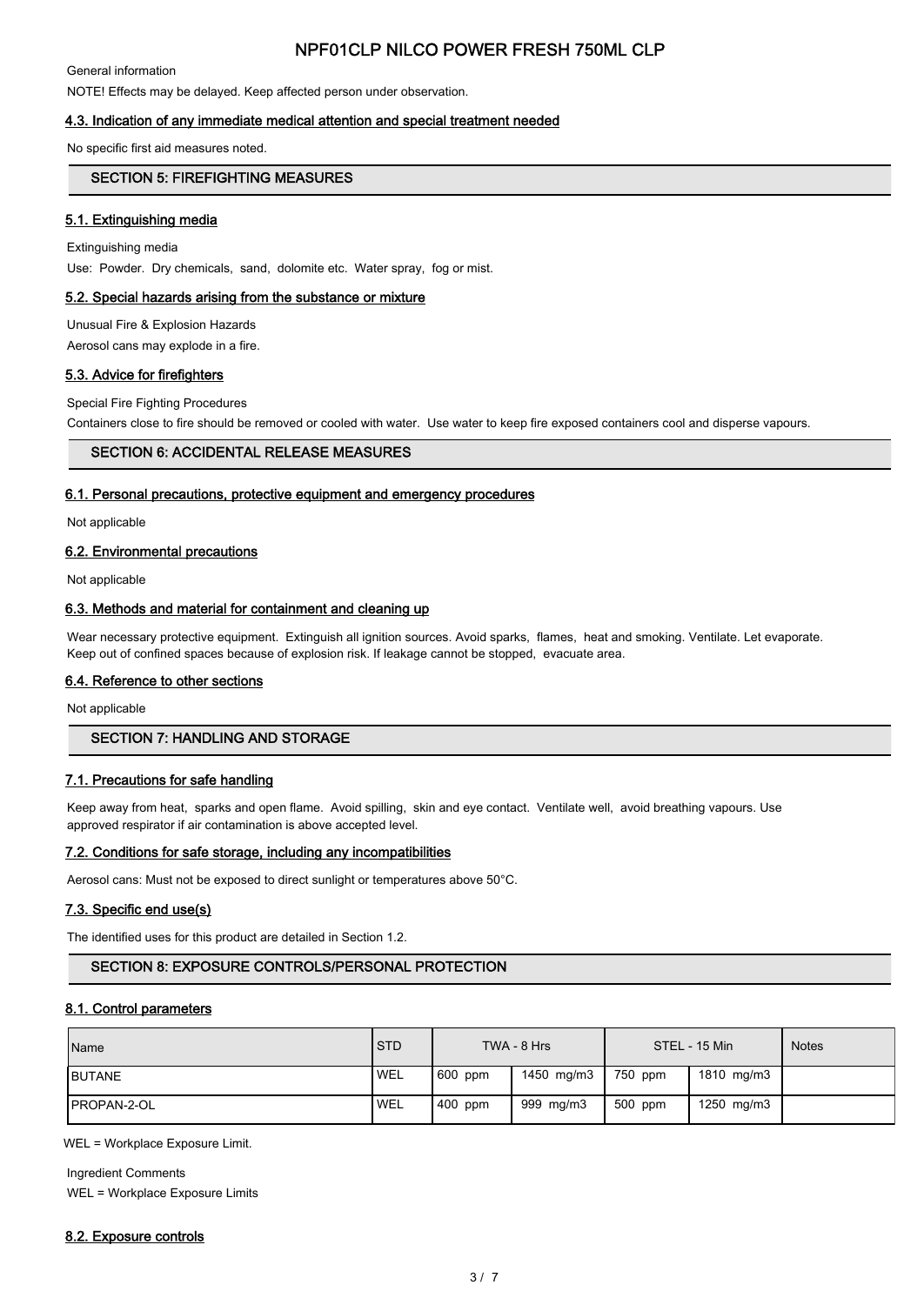General information

NOTE! Effects may be delayed. Keep affected person under observation.

### 4.3. Indication of any immediate medical attention and special treatment needed

No specific first aid measures noted.

## SECTION 5: FIREFIGHTING MEASURES

### 5.1. Extinguishing media

Extinguishing media Use: Powder. Dry chemicals, sand, dolomite etc. Water spray, fog or mist.

### 5.2. Special hazards arising from the substance or mixture

Unusual Fire & Explosion Hazards

Aerosol cans may explode in a fire.

### 5.3. Advice for firefighters

Special Fire Fighting Procedures

Containers close to fire should be removed or cooled with water. Use water to keep fire exposed containers cool and disperse vapours.

### SECTION 6: ACCIDENTAL RELEASE MEASURES

#### 6.1. Personal precautions, protective equipment and emergency procedures

Not applicable

### 6.2. Environmental precautions

Not applicable

### 6.3. Methods and material for containment and cleaning up

Wear necessary protective equipment. Extinguish all ignition sources. Avoid sparks, flames, heat and smoking. Ventilate. Let evaporate. Keep out of confined spaces because of explosion risk. If leakage cannot be stopped, evacuate area.

### 6.4. Reference to other sections

Not applicable

# SECTION 7: HANDLING AND STORAGE

### 7.1. Precautions for safe handling

Keep away from heat, sparks and open flame. Avoid spilling, skin and eye contact. Ventilate well, avoid breathing vapours. Use approved respirator if air contamination is above accepted level.

### 7.2. Conditions for safe storage, including any incompatibilities

Aerosol cans: Must not be exposed to direct sunlight or temperatures above 50°C.

### 7.3. Specific end use(s)

The identified uses for this product are detailed in Section 1.2.

# SECTION 8: EXPOSURE CONTROLS/PERSONAL PROTECTION

### 8.1. Control parameters

| Name                | <b>STD</b> |         | TWA - 8 Hrs |         | STEL - 15 Min | <b>Notes</b> |
|---------------------|------------|---------|-------------|---------|---------------|--------------|
| <b>IBUTANE</b>      | <b>WEL</b> | 600 ppm | 1450 mg/m3  | 750 ppm | 1810 mg/m3    |              |
| <b>IPROPAN-2-OL</b> | <b>WEL</b> | 400 ppm | 999 mg/m3   | 500 ppm | 1250 mg/m3    |              |

WEL = Workplace Exposure Limit.

Ingredient Comments WEL = Workplace Exposure Limits

### 8.2. Exposure controls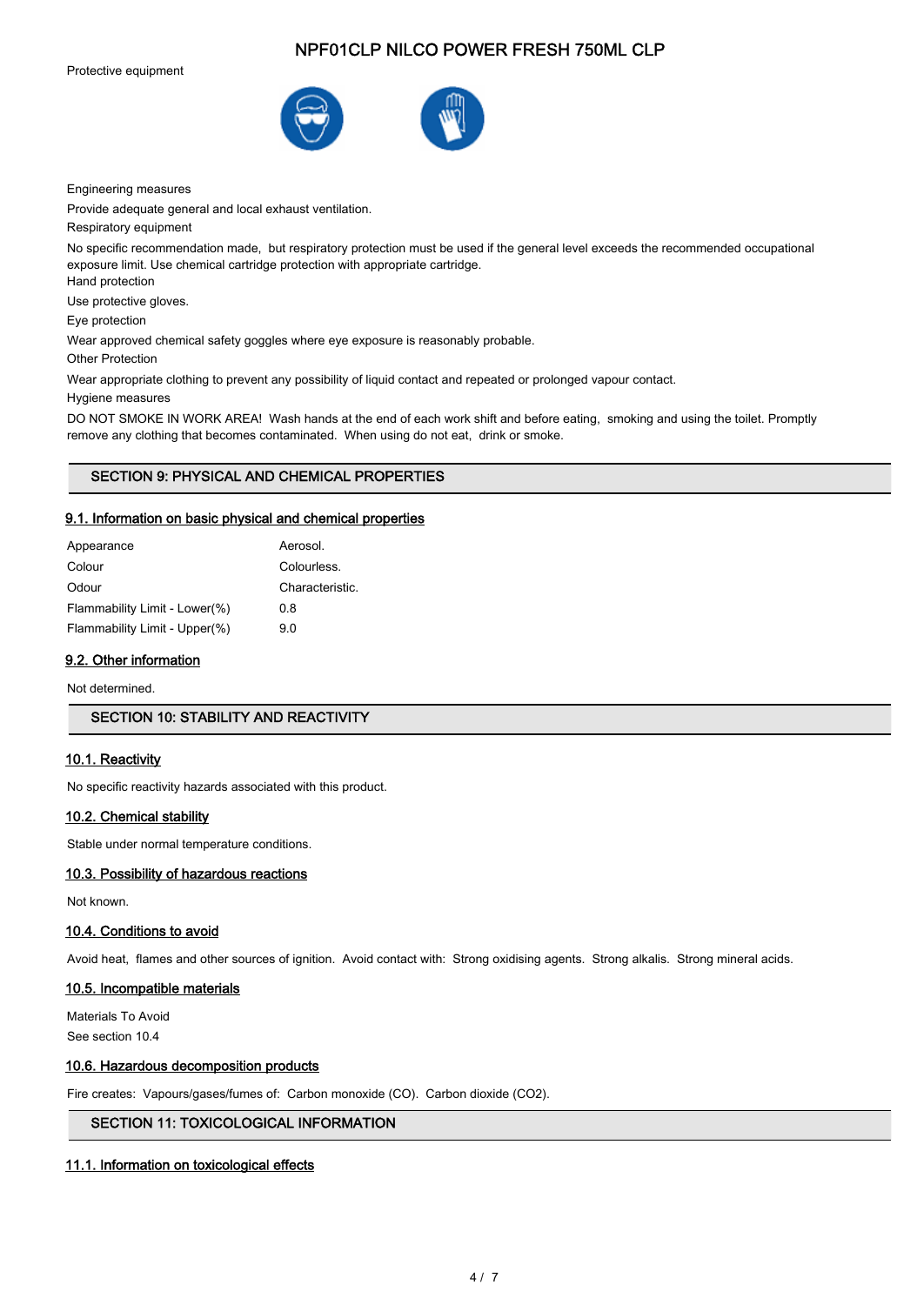Protective equipment





Engineering measures

Provide adequate general and local exhaust ventilation.

Respiratory equipment

No specific recommendation made, but respiratory protection must be used if the general level exceeds the recommended occupational exposure limit. Use chemical cartridge protection with appropriate cartridge.

Hand protection

Use protective gloves.

Eye protection

Wear approved chemical safety goggles where eye exposure is reasonably probable.

Other Protection

Wear appropriate clothing to prevent any possibility of liquid contact and repeated or prolonged vapour contact.

Hygiene measures

DO NOT SMOKE IN WORK AREA! Wash hands at the end of each work shift and before eating, smoking and using the toilet. Promptly remove any clothing that becomes contaminated. When using do not eat, drink or smoke.

# SECTION 9: PHYSICAL AND CHEMICAL PROPERTIES

### 9.1. Information on basic physical and chemical properties

| Aerosol.        |
|-----------------|
| Colourless.     |
| Characteristic. |
| 0 8             |
| 90              |
|                 |

# 9.2. Other information

Not determined.

## SECTION 10: STABILITY AND REACTIVITY

### 10.1. Reactivity

No specific reactivity hazards associated with this product.

#### 10.2. Chemical stability

Stable under normal temperature conditions.

#### 10.3. Possibility of hazardous reactions

Not known.

#### 10.4. Conditions to avoid

Avoid heat, flames and other sources of ignition. Avoid contact with: Strong oxidising agents. Strong alkalis. Strong mineral acids.

### 10.5. Incompatible materials

Materials To Avoid See section 10.4

### 10.6. Hazardous decomposition products

Fire creates: Vapours/gases/fumes of: Carbon monoxide (CO). Carbon dioxide (CO2).

# SECTION 11: TOXICOLOGICAL INFORMATION

### 11.1. Information on toxicological effects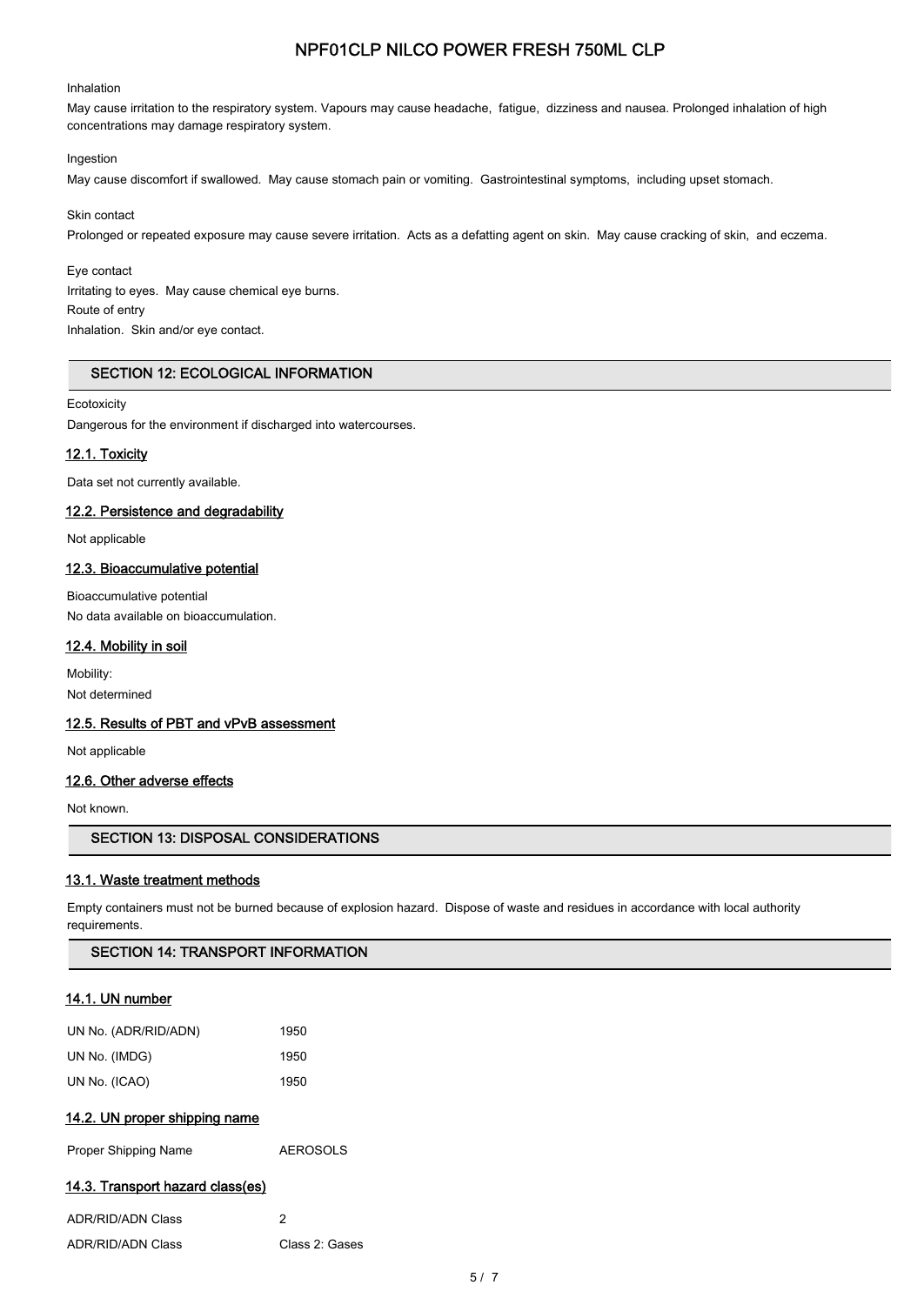### Inhalation

May cause irritation to the respiratory system. Vapours may cause headache, fatigue, dizziness and nausea. Prolonged inhalation of high concentrations may damage respiratory system.

### Ingestion

May cause discomfort if swallowed. May cause stomach pain or vomiting. Gastrointestinal symptoms, including upset stomach.

#### Skin contact

Prolonged or repeated exposure may cause severe irritation. Acts as a defatting agent on skin. May cause cracking of skin, and eczema.

#### Eye contact

Irritating to eyes. May cause chemical eye burns. Route of entry Inhalation. Skin and/or eye contact.

### SECTION 12: ECOLOGICAL INFORMATION

### **Ecotoxicity**

Dangerous for the environment if discharged into watercourses.

### 12.1. Toxicity

Data set not currently available.

# 12.2. Persistence and degradability

Not applicable

### 12.3. Bioaccumulative potential

Bioaccumulative potential No data available on bioaccumulation.

### 12.4. Mobility in soil

Mobility: Not determined

### 12.5. Results of PBT and vPvB assessment

Not applicable

# 12.6. Other adverse effects

Not known.

# SECTION 13: DISPOSAL CONSIDERATIONS

# 13.1. Waste treatment methods

Empty containers must not be burned because of explosion hazard. Dispose of waste and residues in accordance with local authority requirements.

### SECTION 14: TRANSPORT INFORMATION

# 14.1. UN number

| UN No. (ADR/RID/ADN) | 1950 |
|----------------------|------|
| UN No. (IMDG)        | 1950 |
| UN No. (ICAO)        | 1950 |

# 14.2. UN proper shipping name

Proper Shipping Name **AEROSOLS** 

# 14.3. Transport hazard class(es)

| ADR/RID/ADN Class |                |
|-------------------|----------------|
| ADR/RID/ADN Class | Class 2: Gases |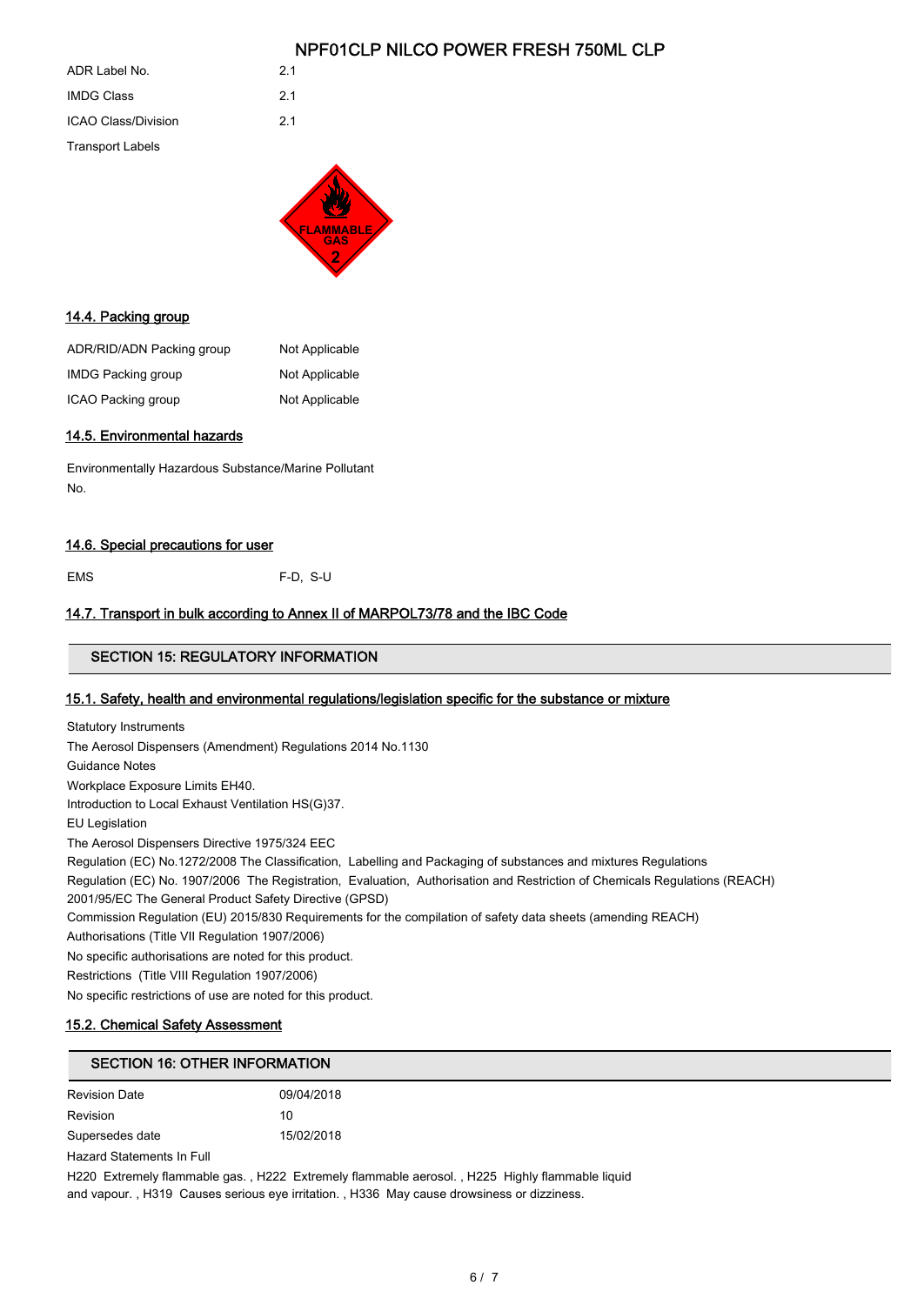| ADR Label No.              | 21 |
|----------------------------|----|
| <b>IMDG Class</b>          | 21 |
| <b>ICAO Class/Division</b> | 21 |
| <b>Transport Labels</b>    |    |



## 14.4. Packing group

| ADR/RID/ADN Packing group | Not Applicable |
|---------------------------|----------------|
| <b>IMDG Packing group</b> | Not Applicable |
| ICAO Packing group        | Not Applicable |

### 14.5. Environmental hazards

Environmentally Hazardous Substance/Marine Pollutant No.

# 14.6. Special precautions for user

EMS F-D, S-U

## 14.7. Transport in bulk according to Annex II of MARPOL73/78 and the IBC Code

# SECTION 15: REGULATORY INFORMATION

### 15.1. Safety, health and environmental regulations/legislation specific for the substance or mixture

| <b>Statutory Instruments</b>                                                                                               |
|----------------------------------------------------------------------------------------------------------------------------|
| The Aerosol Dispensers (Amendment) Regulations 2014 No.1130                                                                |
| Guidance Notes                                                                                                             |
| Workplace Exposure Limits EH40.                                                                                            |
| Introduction to Local Exhaust Ventilation HS(G)37.                                                                         |
| EU Legislation                                                                                                             |
| The Aerosol Dispensers Directive 1975/324 EEC                                                                              |
| Regulation (EC) No.1272/2008 The Classification, Labelling and Packaging of substances and mixtures Regulations            |
| Regulation (EC) No. 1907/2006 The Registration, Evaluation, Authorisation and Restriction of Chemicals Regulations (REACH) |
| 2001/95/EC The General Product Safety Directive (GPSD)                                                                     |
| Commission Regulation (EU) 2015/830 Requirements for the compilation of safety data sheets (amending REACH)                |
| Authorisations (Title VII Regulation 1907/2006)                                                                            |
| No specific authorisations are noted for this product.                                                                     |
| Restrictions (Title VIII Regulation 1907/2006)                                                                             |
| No specific restrictions of use are noted for this product.                                                                |
|                                                                                                                            |

### 15.2. Chemical Safety Assessment

# SECTION 16: OTHER INFORMATION

| <b>Revision Date</b> | 09/04/2018 |
|----------------------|------------|
| Revision             | 10         |
| Supersedes date      | 15/02/2018 |

Hazard Statements In Full

H220 Extremely flammable gas. , H222 Extremely flammable aerosol. , H225 Highly flammable liquid and vapour. , H319 Causes serious eye irritation. , H336 May cause drowsiness or dizziness.